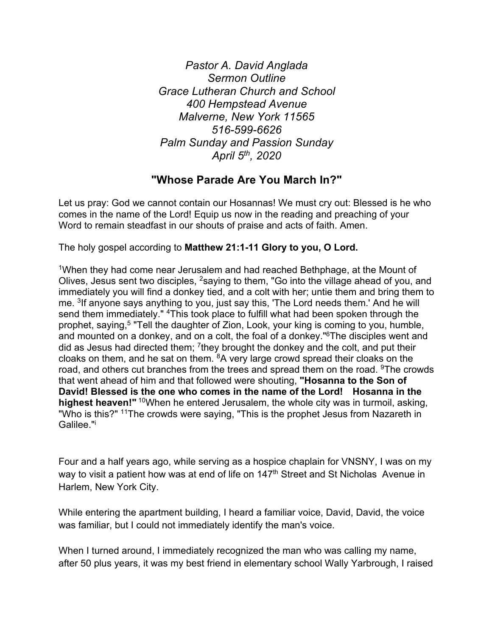*Pastor A. David Anglada Sermon Outline Grace Lutheran Church and School 400 Hempstead Avenue Malverne, New York 11565 516-599-6626 Palm Sunday and Passion Sunday April 5th, 2020*

# **"Whose Parade Are You March In?"**

Let us pray: God we cannot contain our Hosannas! We must cry out: Blessed is he who comes in the name of the Lord! Equip us now in the reading and preaching of your Word to remain steadfast in our shouts of praise and acts of faith. Amen.

The holy gospel according to **Matthew 21:1-11 Glory to you, O Lord.**

1When they had come near Jerusalem and had reached Bethphage, at the Mount of Olives, Jesus sent two disciples, 2saying to them, "Go into the village ahead of you, and immediately you will find a donkey tied, and a colt with her; untie them and bring them to me. <sup>3</sup>If anyone says anything to you, just say this, 'The Lord needs them.' And he will send them immediately." <sup>4</sup>This took place to fulfill what had been spoken through the prophet, saying,<sup>5</sup> "Tell the daughter of Zion, Look, your king is coming to you, humble, and mounted on a donkey, and on a colt, the foal of a donkey."6The disciples went and did as Jesus had directed them;  $^7$ they brought the donkey and the colt, and put their cloaks on them, and he sat on them. 8A very large crowd spread their cloaks on the road, and others cut branches from the trees and spread them on the road. <sup>9</sup>The crowds that went ahead of him and that followed were shouting, **"Hosanna to the Son of David! Blessed is the one who comes in the name of the Lord! Hosanna in the highest heaven!"** 10When he entered Jerusalem, the whole city was in turmoil, asking, "Who is this?" <sup>11</sup>The crowds were saying, "This is the prophet Jesus from Nazareth in Galilee."i

Four and a half years ago, while serving as a hospice chaplain for VNSNY, I was on my way to visit a patient how was at end of life on 147<sup>th</sup> Street and St Nicholas Avenue in Harlem, New York City.

While entering the apartment building, I heard a familiar voice, David, David, the voice was familiar, but I could not immediately identify the man's voice.

When I turned around, I immediately recognized the man who was calling my name, after 50 plus years, it was my best friend in elementary school Wally Yarbrough, I raised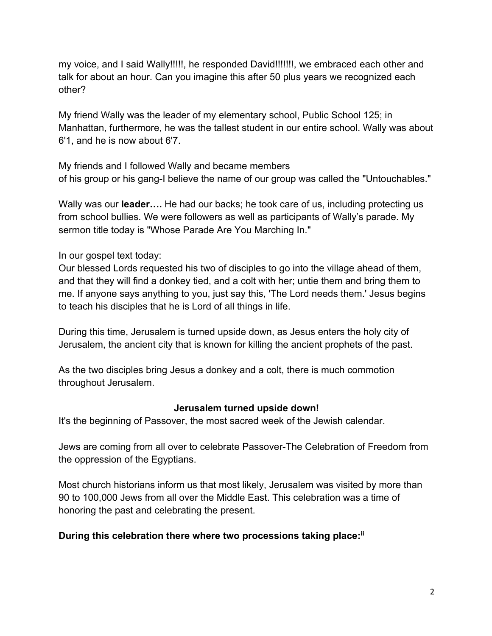my voice, and I said Wally!!!!!, he responded David!!!!!!!, we embraced each other and talk for about an hour. Can you imagine this after 50 plus years we recognized each other?

My friend Wally was the leader of my elementary school, Public School 125; in Manhattan, furthermore, he was the tallest student in our entire school. Wally was about 6'1, and he is now about 6'7.

My friends and I followed Wally and became members of his group or his gang-I believe the name of our group was called the "Untouchables."

Wally was our **leader….** He had our backs; he took care of us, including protecting us from school bullies. We were followers as well as participants of Wally's parade. My sermon title today is "Whose Parade Are You Marching In."

In our gospel text today:

Our blessed Lords requested his two of disciples to go into the village ahead of them, and that they will find a donkey tied, and a colt with her; untie them and bring them to me. If anyone says anything to you, just say this, 'The Lord needs them.' Jesus begins to teach his disciples that he is Lord of all things in life.

During this time, Jerusalem is turned upside down, as Jesus enters the holy city of Jerusalem, the ancient city that is known for killing the ancient prophets of the past.

As the two disciples bring Jesus a donkey and a colt, there is much commotion throughout Jerusalem.

#### **Jerusalem turned upside down!**

It's the beginning of Passover, the most sacred week of the Jewish calendar.

Jews are coming from all over to celebrate Passover-The Celebration of Freedom from the oppression of the Egyptians.

Most church historians inform us that most likely, Jerusalem was visited by more than 90 to 100,000 Jews from all over the Middle East. This celebration was a time of honoring the past and celebrating the present.

## **During this celebration there where two processions taking place: ii**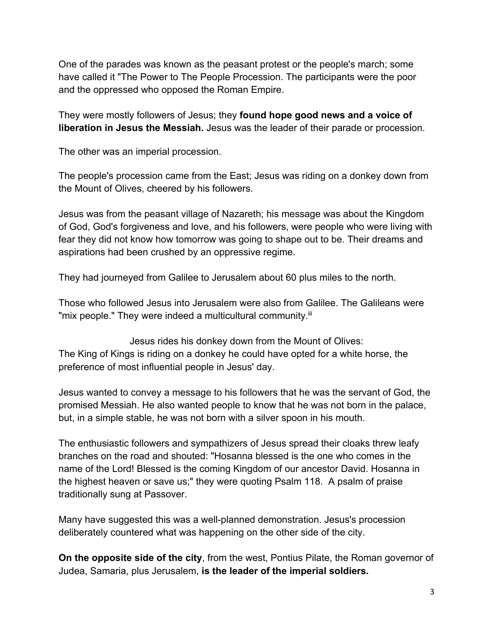One of the parades was known as the peasant protest or the people's march; some have called it "The Power to The People Procession. The participants were the poor and the oppressed who opposed the Roman Empire.

They were mostly followers of Jesus; they **found hope good news and a voice of liberation in Jesus the Messiah.** Jesus was the leader of their parade or procession.

The other was an imperial procession.

The people's procession came from the East; Jesus was riding on a donkey down from the Mount of Olives, cheered by his followers.

Jesus was from the peasant village of Nazareth; his message was about the Kingdom of God, God's forgiveness and love, and his followers, were people who were living with fear they did not know how tomorrow was going to shape out to be. Their dreams and aspirations had been crushed by an oppressive regime.

They had journeyed from Galilee to Jerusalem about 60 plus miles to the north.

Those who followed Jesus into Jerusalem were also from Galilee. The Galileans were "mix people." They were indeed a multicultural community.<sup>iii</sup>

Jesus rides his donkey down from the Mount of Olives: The King of Kings is riding on a donkey he could have opted for a white horse, the preference of most influential people in Jesus' day.

Jesus wanted to convey a message to his followers that he was the servant of God, the promised Messiah. He also wanted people to know that he was not born in the palace, but, in a simple stable, he was not born with a silver spoon in his mouth.

The enthusiastic followers and sympathizers of Jesus spread their cloaks threw leafy branches on the road and shouted: "Hosanna blessed is the one who comes in the name of the Lord! Blessed is the coming Kingdom of our ancestor David. Hosanna in the highest heaven or save us;" they were quoting Psalm 118. A psalm of praise traditionally sung at Passover.

Many have suggested this was a well-planned demonstration. Jesus's procession deliberately countered what was happening on the other side of the city.

**On the opposite side of the city**, from the west, Pontius Pilate, the Roman governor of Judea, Samaria, plus Jerusalem, **is the leader of the imperial soldiers.**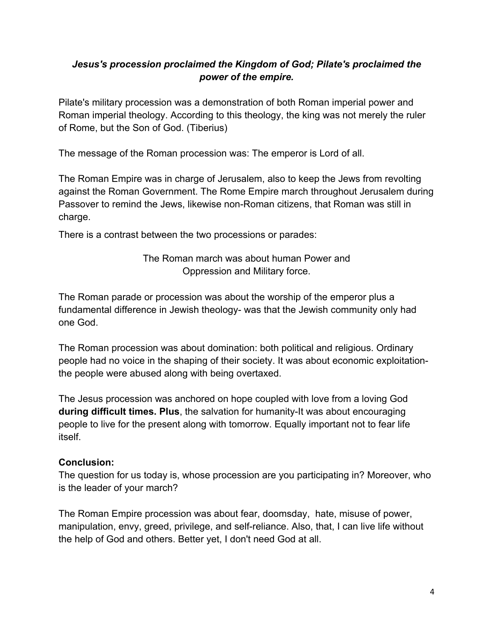# *Jesus's procession proclaimed the Kingdom of God; Pilate's proclaimed the power of the empire.*

Pilate's military procession was a demonstration of both Roman imperial power and Roman imperial theology. According to this theology, the king was not merely the ruler of Rome, but the Son of God. (Tiberius)

The message of the Roman procession was: The emperor is Lord of all.

The Roman Empire was in charge of Jerusalem, also to keep the Jews from revolting against the Roman Government. The Rome Empire march throughout Jerusalem during Passover to remind the Jews, likewise non-Roman citizens, that Roman was still in charge.

There is a contrast between the two processions or parades:

The Roman march was about human Power and Oppression and Military force.

The Roman parade or procession was about the worship of the emperor plus a fundamental difference in Jewish theology- was that the Jewish community only had one God.

The Roman procession was about domination: both political and religious. Ordinary people had no voice in the shaping of their society. It was about economic exploitationthe people were abused along with being overtaxed.

The Jesus procession was anchored on hope coupled with love from a loving God **during difficult times. Plus**, the salvation for humanity-It was about encouraging people to live for the present along with tomorrow. Equally important not to fear life itself.

## **Conclusion:**

The question for us today is, whose procession are you participating in? Moreover, who is the leader of your march?

The Roman Empire procession was about fear, doomsday, hate, misuse of power, manipulation, envy, greed, privilege, and self-reliance. Also, that, I can live life without the help of God and others. Better yet, I don't need God at all.